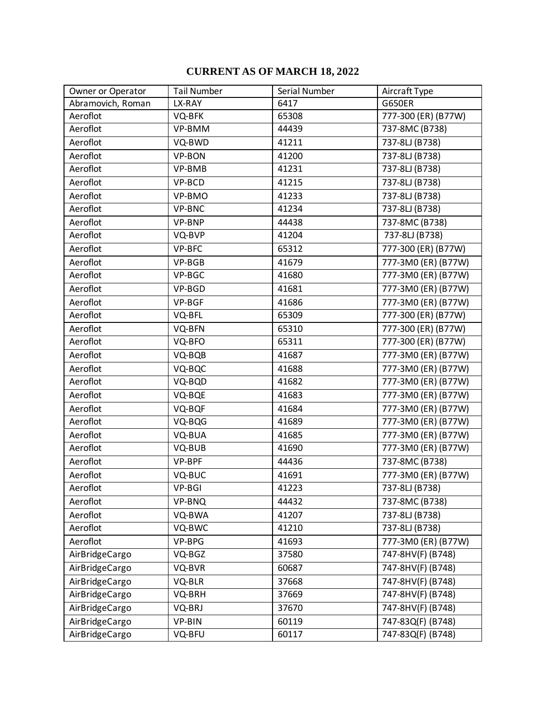## **CURRENT AS OF MARCH 18, 2022**

| Owner or Operator | <b>Tail Number</b> | Serial Number | Aircraft Type       |
|-------------------|--------------------|---------------|---------------------|
| Abramovich, Roman | LX-RAY             | 6417          | <b>G650ER</b>       |
| Aeroflot          | VQ-BFK             | 65308         | 777-300 (ER) (B77W) |
| Aeroflot          | VP-BMM             | 44439         | 737-8MC (B738)      |
| Aeroflot          | VQ-BWD             | 41211         | 737-8LJ (B738)      |
| Aeroflot          | VP-BON             | 41200         | 737-8LJ (B738)      |
| Aeroflot          | VP-BMB             | 41231         | 737-8LJ (B738)      |
| Aeroflot          | VP-BCD             | 41215         | $737-8LJ( B738)$    |
| Aeroflot          | VP-BMO             | 41233         | 737-8LJ (B738)      |
| Aeroflot          | VP-BNC             | 41234         | 737-8LJ (B738)      |
| Aeroflot          | VP-BNP             | 44438         | 737-8MC (B738)      |
| Aeroflot          | VQ-BVP             | 41204         | 737-8LJ (B738)      |
| Aeroflot          | VP-BFC             | 65312         | 777-300 (ER) (B77W) |
| Aeroflot          | VP-BGB             | 41679         | 777-3M0 (ER) (B77W) |
| Aeroflot          | VP-BGC             | 41680         | 777-3M0 (ER) (B77W) |
| Aeroflot          | VP-BGD             | 41681         | 777-3M0 (ER) (B77W) |
| Aeroflot          | VP-BGF             | 41686         | 777-3M0 (ER) (B77W) |
| Aeroflot          | VQ-BFL             | 65309         | 777-300 (ER) (B77W) |
| Aeroflot          | VQ-BFN             | 65310         | 777-300 (ER) (B77W) |
| Aeroflot          | VQ-BFO             | 65311         | 777-300 (ER) (B77W) |
| Aeroflot          | VQ-BQB             | 41687         | 777-3M0 (ER) (B77W) |
| Aeroflot          | VQ-BQC             | 41688         | 777-3M0 (ER) (B77W) |
| Aeroflot          | VQ-BQD             | 41682         | 777-3M0 (ER) (B77W) |
| Aeroflot          | VQ-BQE             | 41683         | 777-3M0 (ER) (B77W) |
| Aeroflot          | VQ-BQF             | 41684         | 777-3M0 (ER) (B77W) |
| Aeroflot          | VQ-BQG             | 41689         | 777-3M0 (ER) (B77W) |
| Aeroflot          | VQ-BUA             | 41685         | 777-3M0 (ER) (B77W) |
| Aeroflot          | VQ-BUB             | 41690         | 777-3M0 (ER) (B77W) |
| Aeroflot          | VP-BPF             | 44436         | 737-8MC (B738)      |
| Aeroflot          | VQ-BUC             | 41691         | 777-3M0 (ER) (B77W) |
| Aeroflot          | VP-BGI             | 41223         | 737-8LJ (B738)      |
| Aeroflot          | VP-BNQ             | 44432         | 737-8MC (B738)      |
| Aeroflot          | VQ-BWA             | 41207         | 737-8LJ (B738)      |
| Aeroflot          | VQ-BWC             | 41210         | 737-8LJ (B738)      |
| Aeroflot          | VP-BPG             | 41693         | 777-3M0 (ER) (B77W) |
| AirBridgeCargo    | VQ-BGZ             | 37580         | 747-8HV(F) (B748)   |
| AirBridgeCargo    | VQ-BVR             | 60687         | 747-8HV(F) (B748)   |
| AirBridgeCargo    | VQ-BLR             | 37668         | 747-8HV(F) (B748)   |
| AirBridgeCargo    | VQ-BRH             | 37669         | 747-8HV(F) (B748)   |
| AirBridgeCargo    | VQ-BRJ             | 37670         | 747-8HV(F) (B748)   |
| AirBridgeCargo    | VP-BIN             | 60119         | 747-83Q(F) (B748)   |
| AirBridgeCargo    | VQ-BFU             | 60117         | 747-83Q(F) (B748)   |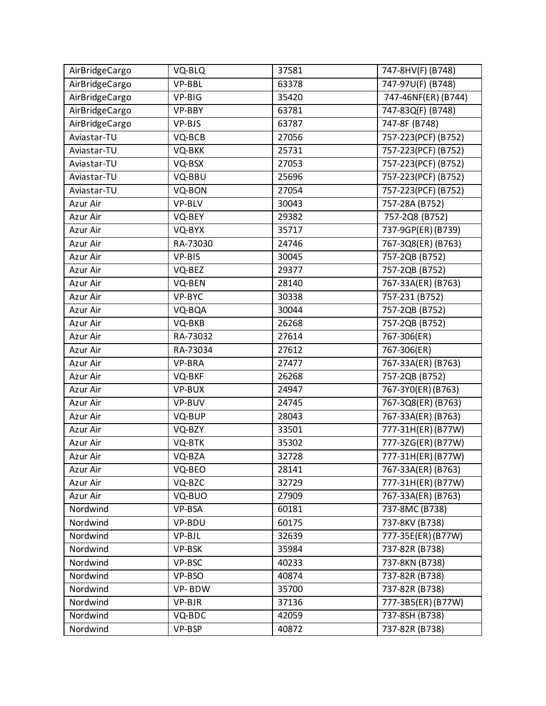| AirBridgeCargo | VQ-BLQ   | 37581 | 747-8HV(F) (B748)     |
|----------------|----------|-------|-----------------------|
| AirBridgeCargo | VP-BBL   | 63378 | 747-97U(F) (B748)     |
| AirBridgeCargo | VP-BIG   | 35420 | 747-46NF(ER) (B744)   |
| AirBridgeCargo | VP-BBY   | 63781 | 747-83Q(F) (B748)     |
| AirBridgeCargo | VP-BJS   | 63787 | 747-8F (B748)         |
| Aviastar-TU    | VQ-BCB   | 27056 | 757-223(PCF) (B752)   |
| Aviastar-TU    | VQ-BKK   | 25731 | 757-223(PCF) (B752)   |
| Aviastar-TU    | VQ-BSX   | 27053 | 757-223(PCF) (B752)   |
| Aviastar-TU    | VQ-BBU   | 25696 | 757-223(PCF) (B752)   |
| Aviastar-TU    | VQ-BON   | 27054 | 757-223(PCF) (B752)   |
| Azur Air       | VP-BLV   | 30043 | 757-28A (B752)        |
| Azur Air       | VQ-BEY   | 29382 | $757-208$ (B752)      |
| Azur Air       | VQ-BYX   | 35717 | 737-9GP(ER)(B739)     |
| Azur Air       | RA-73030 | 24746 | 767-3Q8(ER) (B763)    |
| Azur Air       | VP-BIS   | 30045 | 757-2QB (B752)        |
| Azur Air       | VQ-BEZ   | 29377 | 757-2QB (B752)        |
| Azur Air       | VQ-BEN   | 28140 | 767-33A(ER) (B763)    |
| Azur Air       | VP-BYC   | 30338 | 757-231 (B752)        |
| Azur Air       | VQ-BQA   | 30044 | 757-2QB (B752)        |
| Azur Air       | VQ-BKB   | 26268 | 757-2QB (B752)        |
| Azur Air       | RA-73032 | 27614 | 767-306(ER)           |
| Azur Air       | RA-73034 | 27612 | 767-306(ER)           |
| Azur Air       | VP-BRA   | 27477 | 767-33A(ER) (B763)    |
| Azur Air       | VQ-BKF   | 26268 | 757-2QB (B752)        |
| Azur Air       | VP-BUX   | 24947 | 767-3YO(ER) (B763)    |
| Azur Air       | VP-BUV   | 24745 | 767-3Q8(ER) (B763)    |
| Azur Air       | VQ-BUP   | 28043 | 767-33A(ER) (B763)    |
| Azur Air       | VQ-BZY   | 33501 | $777 - 31H(ER)(B77W)$ |
| Azur Air       | VQ-BTK   | 35302 | 777-3ZG(ER)(B77W)     |
| Azur Air       | VQ-BZA   | 32728 | 777-31H(ER)(B77W)     |
| Azur Air       | VQ-BEO   | 28141 | 767-33A(ER) (B763)    |
| Azur Air       | VQ-BZC   | 32729 | 777-31H(ER)(B77W)     |
| Azur Air       | VQ-BUO   | 27909 | 767-33A(ER) (B763)    |
| Nordwind       | VP-BSA   | 60181 | 737-8MC (B738)        |
| Nordwind       | VP-BDU   | 60175 | 737-8KV (B738)        |
| Nordwind       | VP-BJL   | 32639 | 777-35E(ER)(B77W)     |
| Nordwind       | VP-BSK   | 35984 | 737-82R (B738)        |
| Nordwind       | VP-BSC   | 40233 | 737-8KN (B738)        |
| Nordwind       | VP-BSO   | 40874 | 737-82R (B738)        |
| Nordwind       | VP-BDW   | 35700 | 737-82R (B738)        |
| Nordwind       | VP-BJR   | 37136 | 777-3B5(ER)(B77W)     |
| Nordwind       | VQ-BDC   | 42059 | 737-8SH (B738)        |
| Nordwind       | VP-BSP   | 40872 | 737-82R (B738)        |